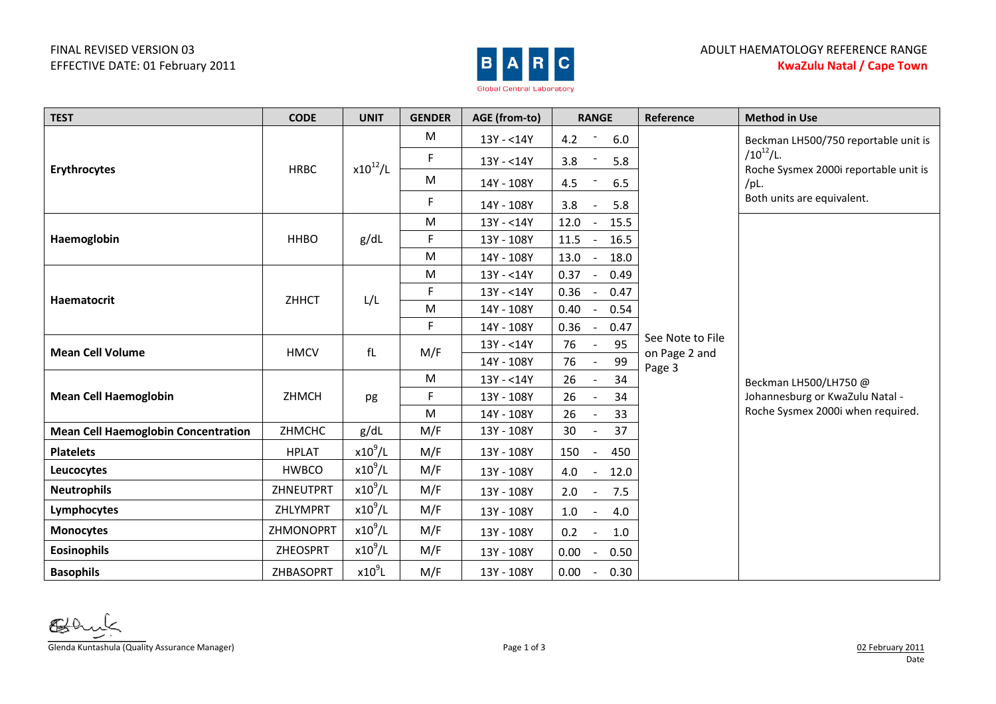## FINAL REVISED VERSION 03 EFFECTIVE DATE: 01 February 2011



| <b>TEST</b>                                | <b>CODE</b>     | <b>UNIT</b>  | <b>GENDER</b> | AGE (from-to) | <b>RANGE</b>                   | Reference                         | <b>Method in Use</b>                                                                                                                  |  |
|--------------------------------------------|-----------------|--------------|---------------|---------------|--------------------------------|-----------------------------------|---------------------------------------------------------------------------------------------------------------------------------------|--|
| Erythrocytes                               | <b>HRBC</b>     | $x10^{12}/L$ | M             | 13Y - <14Y    | 4.2<br>6.0                     |                                   | Beckman LH500/750 reportable unit is<br>$/10^{12}$ /L.<br>Roche Sysmex 2000i reportable unit is<br>/PL.<br>Both units are equivalent. |  |
|                                            |                 |              | F             | 13Y - <14Y    | 3.8<br>5.8                     |                                   |                                                                                                                                       |  |
|                                            |                 |              | ${\sf M}$     | 14Y - 108Y    | 4.5<br>6.5                     |                                   |                                                                                                                                       |  |
|                                            |                 |              | F             | 14Y - 108Y    | 3.8<br>5.8                     |                                   |                                                                                                                                       |  |
| Haemoglobin                                | <b>HHBO</b>     | g/dL         | M             | 13Y - < 14Y   | 12.0<br>15.5                   |                                   |                                                                                                                                       |  |
|                                            |                 |              | F             | 13Y - 108Y    | 11.5<br>16.5                   |                                   |                                                                                                                                       |  |
|                                            |                 |              | M             | 14Y - 108Y    | 13.0<br>18.0                   |                                   |                                                                                                                                       |  |
| Haematocrit                                | ZHHCT           | L/L          | M             | 13Y - <14Y    | 0.37<br>0.49                   |                                   |                                                                                                                                       |  |
|                                            |                 |              | F.            | 13Y - < 14Y   | 0.36<br>0.47                   |                                   |                                                                                                                                       |  |
|                                            |                 |              | M             | 14Y - 108Y    | 0.40<br>0.54                   |                                   |                                                                                                                                       |  |
|                                            |                 |              | F.            | 14Y - 108Y    | 0.36<br>0.47<br>$\blacksquare$ |                                   |                                                                                                                                       |  |
| <b>Mean Cell Volume</b>                    | <b>HMCV</b>     | fL           | M/F           | 13Y - < 14Y   | 95<br>76                       | See Note to File<br>on Page 2 and |                                                                                                                                       |  |
|                                            |                 |              |               | 14Y - 108Y    | 99<br>76                       | Page 3                            | Beckman LH500/LH750 @<br>Johannesburg or KwaZulu Natal -<br>Roche Sysmex 2000i when required.                                         |  |
|                                            | ZHMCH           | pg           | M             | 13Y - < 14Y   | 34<br>26                       |                                   |                                                                                                                                       |  |
| <b>Mean Cell Haemoglobin</b>               |                 |              | F             | 13Y - 108Y    | 26<br>34                       |                                   |                                                                                                                                       |  |
|                                            |                 |              | M             | 14Y - 108Y    | 26<br>33                       |                                   |                                                                                                                                       |  |
| <b>Mean Cell Haemoglobin Concentration</b> | ZHMCHC          | g/dL         | M/F           | 13Y - 108Y    | 37<br>30                       |                                   |                                                                                                                                       |  |
| <b>Platelets</b>                           | <b>HPLAT</b>    | $x10^9$ /L   | M/F           | 13Y - 108Y    | 150<br>450                     |                                   |                                                                                                                                       |  |
| Leucocytes                                 | <b>HWBCO</b>    | $x10^9$ /L   | M/F           | 13Y - 108Y    | 4.0<br>12.0<br>$\blacksquare$  |                                   |                                                                                                                                       |  |
| <b>Neutrophils</b>                         | ZHNEUTPRT       | $x10^9$ /L   | M/F           | 13Y - 108Y    | 7.5<br>2.0<br>$\blacksquare$   |                                   |                                                                                                                                       |  |
| Lymphocytes                                | ZHLYMPRT        | $x10^9$ /L   | M/F           | 13Y - 108Y    | 1.0<br>4.0                     |                                   |                                                                                                                                       |  |
| <b>Monocytes</b>                           | ZHMONOPRT       | $x10^9$ /L   | M/F           | 13Y - 108Y    | 0.2<br>1.0                     |                                   |                                                                                                                                       |  |
| <b>Eosinophils</b>                         | <b>ZHEOSPRT</b> | $x10^9$ /L   | M/F           | 13Y - 108Y    | 0.00<br>0.50                   |                                   |                                                                                                                                       |  |
| <b>Basophils</b>                           | ZHBASOPRT       | $x10^9$ L    | M/F           | 13Y - 108Y    | 0.00<br>0.30<br>$\blacksquare$ |                                   |                                                                                                                                       |  |

Glenda Kuntashula (Quality Assurance Manager) Page 1 of 3 02 February 2011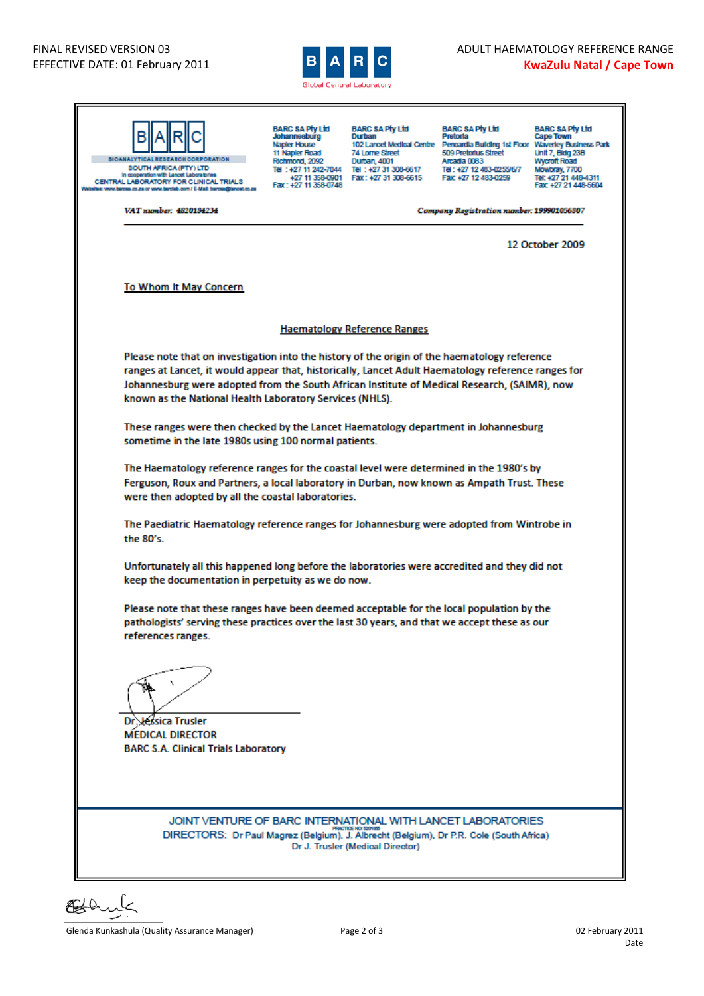

| <b>BIOANALYTICAL RESEARCH CORPORATION</b><br><b>SOUTH AFRICA (PTY) LTD</b><br>In cooperation with Lancet Laboratories<br>CENTRAL LABORATORY FOR CLINICAL TRIALS<br>ities: www.barcea.co.za or www.barclab.com/ E-Mail: barcea@iancet.co.za                                                                                                                       | <b>BARC SA Pty Ltd</b><br>Johannesburg<br>Napler House<br>11 Napler Road<br>Richmond, 2092<br>Fax: +27 11 358-0748                                  | <b>BARC SA Pty Ltd</b><br>Durban<br>74 Lorne Street<br>Durban, 4001<br>Tel: +27 11 242-7044 Tel: +27 31 308-6617<br>+27 11 358-0901   Fax: +27 31 308-6615 | <b>BARC SA Pty Ltd</b><br>Pretoria<br>102 Lancet Medical Centre Pencardia Building 1st Floor Waverley Business Park<br>509 Pretorius Street<br>Arcadia 0083<br>Tel: +27 12 483-0255/6/7<br>Fax: +27 12 483-0259 | <b>BARC SA Pty Ltd</b><br>Cape Town<br><b>Unit 7, Bidg 23B</b><br><b>Wycroft Road</b><br>Mowbray, 7700<br>Tel: +27 21 448-4311<br>Fax: +27 21 448-5604 |  |  |  |  |  |
|------------------------------------------------------------------------------------------------------------------------------------------------------------------------------------------------------------------------------------------------------------------------------------------------------------------------------------------------------------------|-----------------------------------------------------------------------------------------------------------------------------------------------------|------------------------------------------------------------------------------------------------------------------------------------------------------------|-----------------------------------------------------------------------------------------------------------------------------------------------------------------------------------------------------------------|--------------------------------------------------------------------------------------------------------------------------------------------------------|--|--|--|--|--|
| VAT number: 4820184234                                                                                                                                                                                                                                                                                                                                           | Company Registration number: 199901056807                                                                                                           |                                                                                                                                                            |                                                                                                                                                                                                                 |                                                                                                                                                        |  |  |  |  |  |
|                                                                                                                                                                                                                                                                                                                                                                  |                                                                                                                                                     |                                                                                                                                                            |                                                                                                                                                                                                                 | 12 October 2009                                                                                                                                        |  |  |  |  |  |
| <b>To Whom It May Concern</b>                                                                                                                                                                                                                                                                                                                                    |                                                                                                                                                     |                                                                                                                                                            |                                                                                                                                                                                                                 |                                                                                                                                                        |  |  |  |  |  |
|                                                                                                                                                                                                                                                                                                                                                                  |                                                                                                                                                     |                                                                                                                                                            |                                                                                                                                                                                                                 |                                                                                                                                                        |  |  |  |  |  |
| <b>Haematology Reference Ranges</b>                                                                                                                                                                                                                                                                                                                              |                                                                                                                                                     |                                                                                                                                                            |                                                                                                                                                                                                                 |                                                                                                                                                        |  |  |  |  |  |
| Please note that on investigation into the history of the origin of the haematology reference<br>ranges at Lancet, it would appear that, historically, Lancet Adult Haematology reference ranges for<br>Johannesburg were adopted from the South African Institute of Medical Research, (SAIMR), now<br>known as the National Health Laboratory Services (NHLS). |                                                                                                                                                     |                                                                                                                                                            |                                                                                                                                                                                                                 |                                                                                                                                                        |  |  |  |  |  |
| These ranges were then checked by the Lancet Haematology department in Johannesburg<br>sometime in the late 1980s using 100 normal patients.                                                                                                                                                                                                                     |                                                                                                                                                     |                                                                                                                                                            |                                                                                                                                                                                                                 |                                                                                                                                                        |  |  |  |  |  |
| The Haematology reference ranges for the coastal level were determined in the 1980's by<br>Ferguson, Roux and Partners, a local laboratory in Durban, now known as Ampath Trust. These<br>were then adopted by all the coastal laboratories.                                                                                                                     |                                                                                                                                                     |                                                                                                                                                            |                                                                                                                                                                                                                 |                                                                                                                                                        |  |  |  |  |  |
| the 80's.                                                                                                                                                                                                                                                                                                                                                        | The Paediatric Haematology reference ranges for Johannesburg were adopted from Wintrobe in                                                          |                                                                                                                                                            |                                                                                                                                                                                                                 |                                                                                                                                                        |  |  |  |  |  |
|                                                                                                                                                                                                                                                                                                                                                                  | Unfortunately all this happened long before the laboratories were accredited and they did not<br>keep the documentation in perpetuity as we do now. |                                                                                                                                                            |                                                                                                                                                                                                                 |                                                                                                                                                        |  |  |  |  |  |
| Please note that these ranges have been deemed acceptable for the local population by the<br>pathologists' serving these practices over the last 30 years, and that we accept these as our<br>references ranges.                                                                                                                                                 |                                                                                                                                                     |                                                                                                                                                            |                                                                                                                                                                                                                 |                                                                                                                                                        |  |  |  |  |  |
| Dr. Jessica Trusler<br><b>MEDICAL DIRECTOR</b><br><b>BARC S.A. Clinical Trials Laboratory</b>                                                                                                                                                                                                                                                                    |                                                                                                                                                     |                                                                                                                                                            |                                                                                                                                                                                                                 |                                                                                                                                                        |  |  |  |  |  |
| JOINT VENTURE OF BARC INTERNATIONAL WITH LANCET LABORATORIES<br>DIRECTORS: Dr Paul Magrez (Belgium), J. Albrecht (Belgium), Dr P.R. Cole (South Africa)                                                                                                                                                                                                          |                                                                                                                                                     | Dr J. Trusler (Medical Director)                                                                                                                           |                                                                                                                                                                                                                 |                                                                                                                                                        |  |  |  |  |  |

€